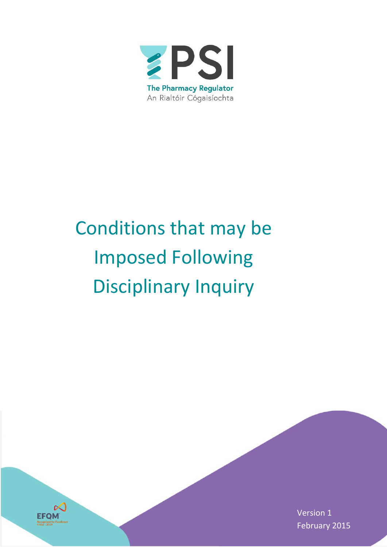

# Conditions that may be Imposed Following Disciplinary Inquiry



Version 1 February 2015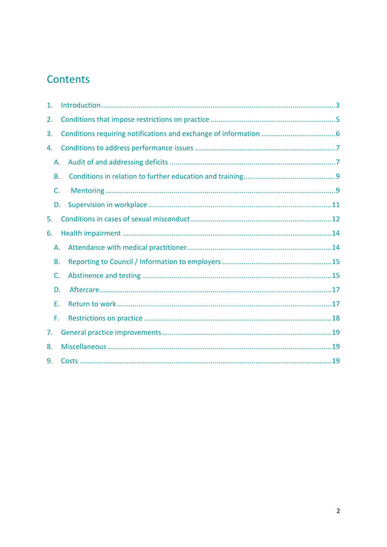# Contents

| 1. |  |
|----|--|
| 2. |  |
| 3. |  |
| 4. |  |
| Α. |  |
| В. |  |
| C. |  |
| D. |  |
| 5. |  |
| 6. |  |
| А. |  |
| В. |  |
| C. |  |
| D. |  |
| Е. |  |
| F. |  |
| 7. |  |
| 8. |  |
| 9. |  |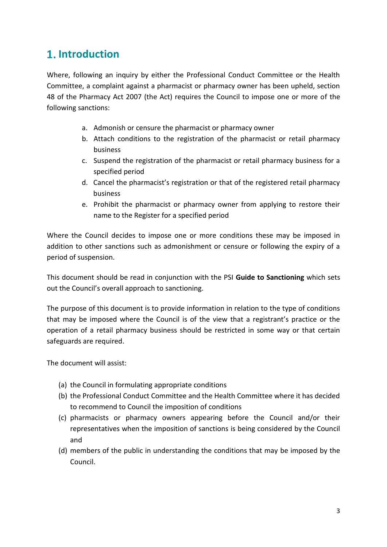# <span id="page-2-0"></span>**1.** Introduction

Where, following an inquiry by either the Professional Conduct Committee or the Health Committee, a complaint against a pharmacist or pharmacy owner has been upheld, section 48 of the Pharmacy Act 2007 (the Act) requires the Council to impose one or more of the following sanctions:

- a. Admonish or censure the pharmacist or pharmacy owner
- b. Attach conditions to the registration of the pharmacist or retail pharmacy business
- c. Suspend the registration of the pharmacist or retail pharmacy business for a specified period
- d. Cancel the pharmacist's registration or that of the registered retail pharmacy business
- e. Prohibit the pharmacist or pharmacy owner from applying to restore their name to the Register for a specified period

Where the Council decides to impose one or more conditions these may be imposed in addition to other sanctions such as admonishment or censure or following the expiry of a period of suspension.

This document should be read in conjunction with the PSI **Guide to Sanctioning** which sets out the Council's overall approach to sanctioning.

The purpose of this document is to provide information in relation to the type of conditions that may be imposed where the Council is of the view that a registrant's practice or the operation of a retail pharmacy business should be restricted in some way or that certain safeguards are required.

The document will assist:

- (a) the Council in formulating appropriate conditions
- (b) the Professional Conduct Committee and the Health Committee where it has decided to recommend to Council the imposition of conditions
- (c) pharmacists or pharmacy owners appearing before the Council and/or their representatives when the imposition of sanctions is being considered by the Council and
- (d) members of the public in understanding the conditions that may be imposed by the Council.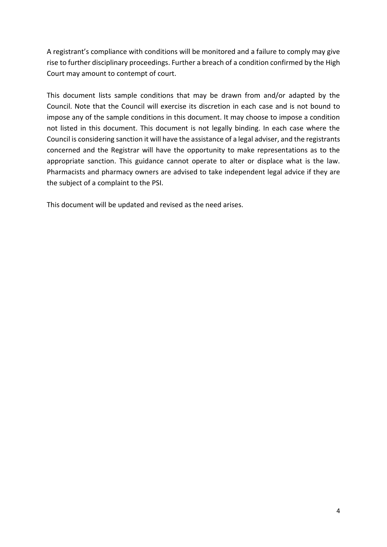A registrant's compliance with conditions will be monitored and a failure to comply may give rise to further disciplinary proceedings. Further a breach of a condition confirmed by the High Court may amount to contempt of court.

This document lists sample conditions that may be drawn from and/or adapted by the Council. Note that the Council will exercise its discretion in each case and is not bound to impose any of the sample conditions in this document. It may choose to impose a condition not listed in this document. This document is not legally binding. In each case where the Council is considering sanction it will have the assistance of a legal adviser, and the registrants concerned and the Registrar will have the opportunity to make representations as to the appropriate sanction. This guidance cannot operate to alter or displace what is the law. Pharmacists and pharmacy owners are advised to take independent legal advice if they are the subject of a complaint to the PSI.

This document will be updated and revised as the need arises.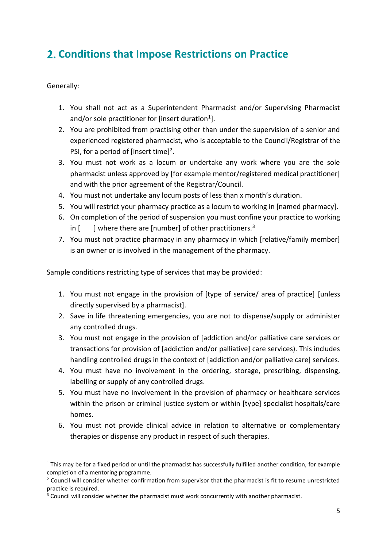# <span id="page-4-0"></span>**Conditions that Impose Restrictions on Practice**

Generally:

- 1. You shall not act as a Superintendent Pharmacist and/or Supervising Pharmacist and/or sole practitioner for [insert duration<sup>1</sup>].
- 2. You are prohibited from practising other than under the supervision of a senior and experienced registered pharmacist, who is acceptable to the Council/Registrar of the PSI, for a period of [insert time]<sup>2</sup>.
- 3. You must not work as a locum or undertake any work where you are the sole pharmacist unless approved by [for example mentor/registered medical practitioner] and with the prior agreement of the Registrar/Council.
- 4. You must not undertake any locum posts of less than x month's duration.
- 5. You will restrict your pharmacy practice as a locum to working in [named pharmacy].
- 6. On completion of the period of suspension you must confine your practice to working in  $\lceil \cdot \cdot \rceil$  where there are [number] of other practitioners.<sup>3</sup>
- 7. You must not practice pharmacy in any pharmacy in which [relative/family member] is an owner or is involved in the management of the pharmacy.

Sample conditions restricting type of services that may be provided:

- 1. You must not engage in the provision of [type of service/ area of practice] [unless directly supervised by a pharmacist].
- 2. Save in life threatening emergencies, you are not to dispense/supply or administer any controlled drugs.
- 3. You must not engage in the provision of [addiction and/or palliative care services or transactions for provision of [addiction and/or palliative] care services). This includes handling controlled drugs in the context of [addiction and/or palliative care] services.
- 4. You must have no involvement in the ordering, storage, prescribing, dispensing, labelling or supply of any controlled drugs.
- 5. You must have no involvement in the provision of pharmacy or healthcare services within the prison or criminal justice system or within [type] specialist hospitals/care homes.
- 6. You must not provide clinical advice in relation to alternative or complementary therapies or dispense any product in respect of such therapies.

 $\overline{a}$  $1$  This may be for a fixed period or until the pharmacist has successfully fulfilled another condition, for example completion of a mentoring programme.

 $2$  Council will consider whether confirmation from supervisor that the pharmacist is fit to resume unrestricted practice is required.

 $3$  Council will consider whether the pharmacist must work concurrently with another pharmacist.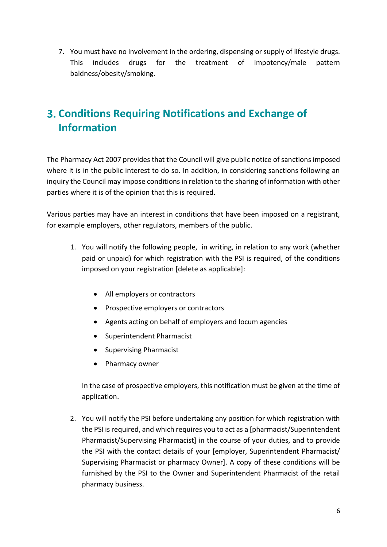7. You must have no involvement in the ordering, dispensing or supply of lifestyle drugs. This includes drugs for the treatment of impotency/male pattern baldness/obesity/smoking.

# <span id="page-5-0"></span>**Conditions Requiring Notifications and Exchange of Information**

The Pharmacy Act 2007 provides that the Council will give public notice of sanctions imposed where it is in the public interest to do so. In addition, in considering sanctions following an inquiry the Council may impose conditions in relation to the sharing of information with other parties where it is of the opinion that this is required.

Various parties may have an interest in conditions that have been imposed on a registrant, for example employers, other regulators, members of the public.

- 1. You will notify the following people, in writing, in relation to any work (whether paid or unpaid) for which registration with the PSI is required, of the conditions imposed on your registration [delete as applicable]:
	- All employers or contractors
	- Prospective employers or contractors
	- Agents acting on behalf of employers and locum agencies
	- Superintendent Pharmacist
	- Supervising Pharmacist
	- Pharmacy owner

In the case of prospective employers, this notification must be given at the time of application.

2. You will notify the PSI before undertaking any position for which registration with the PSI is required, and which requires you to act as a [pharmacist/Superintendent Pharmacist/Supervising Pharmacist] in the course of your duties, and to provide the PSI with the contact details of your [employer, Superintendent Pharmacist/ Supervising Pharmacist or pharmacy Owner]. A copy of these conditions will be furnished by the PSI to the Owner and Superintendent Pharmacist of the retail pharmacy business.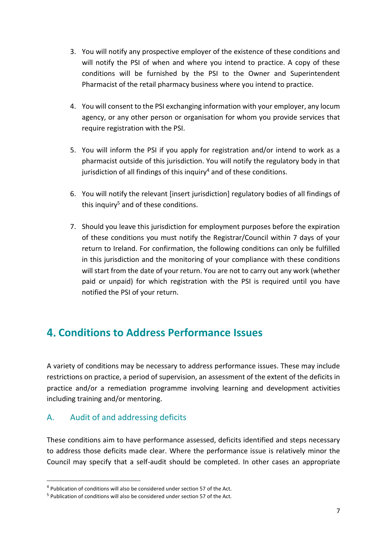- 3. You will notify any prospective employer of the existence of these conditions and will notify the PSI of when and where you intend to practice. A copy of these conditions will be furnished by the PSI to the Owner and Superintendent Pharmacist of the retail pharmacy business where you intend to practice.
- 4. You will consent to the PSI exchanging information with your employer, any locum agency, or any other person or organisation for whom you provide services that require registration with the PSI.
- 5. You will inform the PSI if you apply for registration and/or intend to work as a pharmacist outside of this jurisdiction. You will notify the regulatory body in that jurisdiction of all findings of this inquiry<sup>4</sup> and of these conditions.
- 6. You will notify the relevant [insert jurisdiction] regulatory bodies of all findings of this inquiry<sup>5</sup> and of these conditions.
- 7. Should you leave this jurisdiction for employment purposes before the expiration of these conditions you must notify the Registrar/Council within 7 days of your return to Ireland. For confirmation, the following conditions can only be fulfilled in this jurisdiction and the monitoring of your compliance with these conditions will start from the date of your return. You are not to carry out any work (whether paid or unpaid) for which registration with the PSI is required until you have notified the PSI of your return.

## <span id="page-6-0"></span>**Conditions to Address Performance Issues**

A variety of conditions may be necessary to address performance issues. These may include restrictions on practice, a period of supervision, an assessment of the extent of the deficits in practice and/or a remediation programme involving learning and development activities including training and/or mentoring.

## <span id="page-6-1"></span>A. Audit of and addressing deficits

**.** 

These conditions aim to have performance assessed, deficits identified and steps necessary to address those deficits made clear. Where the performance issue is relatively minor the Council may specify that a self-audit should be completed. In other cases an appropriate

<sup>4</sup> Publication of conditions will also be considered under section 57 of the Act.

<sup>5</sup> Publication of conditions will also be considered under section 57 of the Act.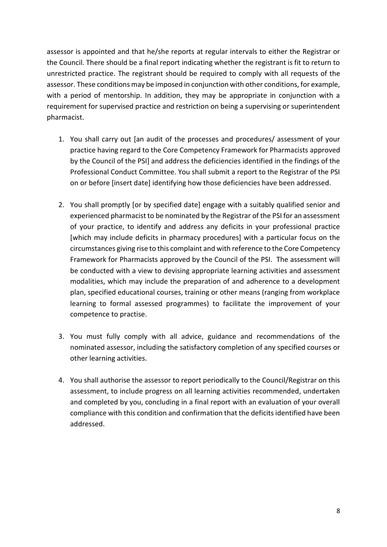assessor is appointed and that he/she reports at regular intervals to either the Registrar or the Council. There should be a final report indicating whether the registrant is fit to return to unrestricted practice. The registrant should be required to comply with all requests of the assessor. These conditions may be imposed in conjunction with other conditions, for example, with a period of mentorship. In addition, they may be appropriate in conjunction with a requirement for supervised practice and restriction on being a supervising or superintendent pharmacist.

- 1. You shall carry out [an audit of the processes and procedures/ assessment of your practice having regard to the Core Competency Framework for Pharmacists approved by the Council of the PSI] and address the deficiencies identified in the findings of the Professional Conduct Committee. You shall submit a report to the Registrar of the PSI on or before [insert date] identifying how those deficiencies have been addressed.
- 2. You shall promptly [or by specified date] engage with a suitably qualified senior and experienced pharmacist to be nominated by the Registrar of the PSI for an assessment of your practice, to identify and address any deficits in your professional practice [which may include deficits in pharmacy procedures] with a particular focus on the circumstances giving rise to this complaint and with reference to the Core Competency Framework for Pharmacists approved by the Council of the PSI. The assessment will be conducted with a view to devising appropriate learning activities and assessment modalities, which may include the preparation of and adherence to a development plan, specified educational courses, training or other means (ranging from workplace learning to formal assessed programmes) to facilitate the improvement of your competence to practise.
- 3. You must fully comply with all advice, guidance and recommendations of the nominated assessor, including the satisfactory completion of any specified courses or other learning activities.
- 4. You shall authorise the assessor to report periodically to the Council/Registrar on this assessment, to include progress on all learning activities recommended, undertaken and completed by you, concluding in a final report with an evaluation of your overall compliance with this condition and confirmation that the deficits identified have been addressed.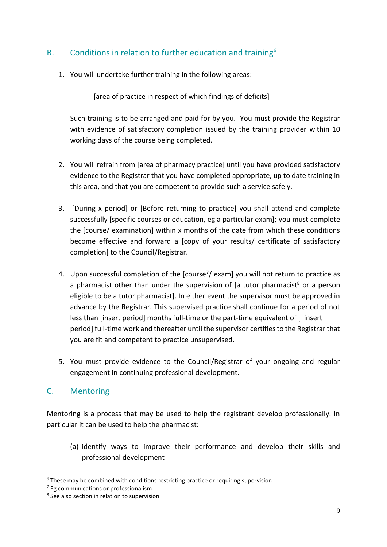## <span id="page-8-0"></span>B. Conditions in relation to further education and training<sup>6</sup>

1. You will undertake further training in the following areas:

[area of practice in respect of which findings of deficits]

Such training is to be arranged and paid for by you. You must provide the Registrar with evidence of satisfactory completion issued by the training provider within 10 working days of the course being completed.

- 2. You will refrain from [area of pharmacy practice] until you have provided satisfactory evidence to the Registrar that you have completed appropriate, up to date training in this area, and that you are competent to provide such a service safely.
- 3. [During x period] or [Before returning to practice] you shall attend and complete successfully [specific courses or education, eg a particular exam]; you must complete the [course/ examination] within x months of the date from which these conditions become effective and forward a [copy of your results/ certificate of satisfactory completion] to the Council/Registrar.
- 4. Upon successful completion of the  $[course<sup>7</sup>/$  exam] you will not return to practice as a pharmacist other than under the supervision of  $[a]$  tutor pharmacist<sup>8</sup> or a person eligible to be a tutor pharmacist]. In either event the supervisor must be approved in advance by the Registrar. This supervised practice shall continue for a period of not less than [insert period] months full-time or the part-time equivalent of [ insert period] full-time work and thereafter until the supervisor certifies to the Registrar that you are fit and competent to practice unsupervised.
- 5. You must provide evidence to the Council/Registrar of your ongoing and regular engagement in continuing professional development.

#### <span id="page-8-1"></span>C. Mentoring

**.** 

Mentoring is a process that may be used to help the registrant develop professionally. In particular it can be used to help the pharmacist:

(a) identify ways to improve their performance and develop their skills and professional development

 $6$  These may be combined with conditions restricting practice or requiring supervision

<sup>7</sup> Eg communications or professionalism

<sup>8</sup> See also section in relation to supervision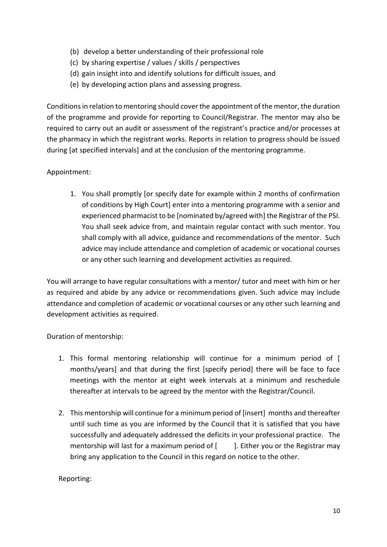- (b) develop a better understanding of their professional role
- (c) by sharing expertise / values / skills / perspectives
- (d) gain insight into and identify solutions for difficult issues, and
- (e) by developing action plans and assessing progress.

Conditions in relation to mentoring should cover the appointment of the mentor, the duration of the programme and provide for reporting to Council/Registrar. The mentor may also be required to carry out an audit or assessment of the registrant's practice and/or processes at the pharmacy in which the registrant works. Reports in relation to progress should be issued during [at specified intervals] and at the conclusion of the mentoring programme.

#### Appointment:

1. You shall promptly [or specify date for example within 2 months of confirmation of conditions by High Court] enter into a mentoring programme with a senior and experienced pharmacist to be [nominated by/agreed with] the Registrar of the PSI. You shall seek advice from, and maintain regular contact with such mentor. You shall comply with all advice, guidance and recommendations of the mentor. Such advice may include attendance and completion of academic or vocational courses or any other such learning and development activities as required.

You will arrange to have regular consultations with a mentor/ tutor and meet with him or her as required and abide by any advice or recommendations given. Such advice may include attendance and completion of academic or vocational courses or any other such learning and development activities as required.

Duration of mentorship:

- 1. This formal mentoring relationship will continue for a minimum period of [ months/years] and that during the first [specify period] there will be face to face meetings with the mentor at eight week intervals at a minimum and reschedule thereafter at intervals to be agreed by the mentor with the Registrar/Council.
- 2. This mentorship will continue for a minimum period of [insert] months and thereafter until such time as you are informed by the Council that it is satisfied that you have successfully and adequately addressed the deficits in your professional practice. The mentorship will last for a maximum period of  $[$  ]. Either you or the Registrar may bring any application to the Council in this regard on notice to the other.

Reporting: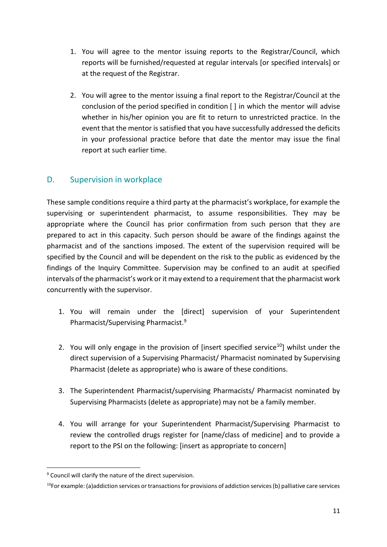- 1. You will agree to the mentor issuing reports to the Registrar/Council, which reports will be furnished/requested at regular intervals [or specified intervals] or at the request of the Registrar.
- 2. You will agree to the mentor issuing a final report to the Registrar/Council at the conclusion of the period specified in condition [ ] in which the mentor will advise whether in his/her opinion you are fit to return to unrestricted practice. In the event that the mentor is satisfied that you have successfully addressed the deficits in your professional practice before that date the mentor may issue the final report at such earlier time.

### <span id="page-10-0"></span>D. Supervision in workplace

These sample conditions require a third party at the pharmacist's workplace, for example the supervising or superintendent pharmacist, to assume responsibilities. They may be appropriate where the Council has prior confirmation from such person that they are prepared to act in this capacity. Such person should be aware of the findings against the pharmacist and of the sanctions imposed. The extent of the supervision required will be specified by the Council and will be dependent on the risk to the public as evidenced by the findings of the Inquiry Committee. Supervision may be confined to an audit at specified intervals of the pharmacist's work or it may extend to a requirement that the pharmacist work concurrently with the supervisor.

- 1. You will remain under the [direct] supervision of your Superintendent Pharmacist/Supervising Pharmacist.<sup>9</sup>
- 2. You will only engage in the provision of [insert specified service<sup>10</sup>] whilst under the direct supervision of a Supervising Pharmacist/ Pharmacist nominated by Supervising Pharmacist (delete as appropriate) who is aware of these conditions.
- 3. The Superintendent Pharmacist/supervising Pharmacists/ Pharmacist nominated by Supervising Pharmacists (delete as appropriate) may not be a family member.
- 4. You will arrange for your Superintendent Pharmacist/Supervising Pharmacist to review the controlled drugs register for [name/class of medicine] and to provide a report to the PSI on the following: [insert as appropriate to concern]

1

<sup>&</sup>lt;sup>9</sup> Council will clarify the nature of the direct supervision.

 $10$ For example: (a)addiction services or transactions for provisions of addiction services (b) palliative care services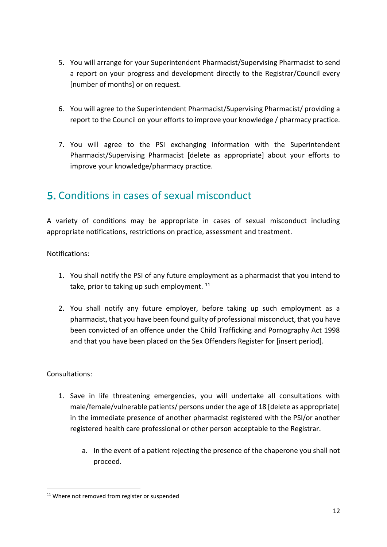- 5. You will arrange for your Superintendent Pharmacist/Supervising Pharmacist to send a report on your progress and development directly to the Registrar/Council every [number of months] or on request.
- 6. You will agree to the Superintendent Pharmacist/Supervising Pharmacist/ providing a report to the Council on your efforts to improve your knowledge / pharmacy practice.
- 7. You will agree to the PSI exchanging information with the Superintendent Pharmacist/Supervising Pharmacist [delete as appropriate] about your efforts to improve your knowledge/pharmacy practice.

## <span id="page-11-0"></span>**5.** Conditions in cases of sexual misconduct

A variety of conditions may be appropriate in cases of sexual misconduct including appropriate notifications, restrictions on practice, assessment and treatment.

Notifications:

- 1. You shall notify the PSI of any future employment as a pharmacist that you intend to take, prior to taking up such employment.  $11$
- 2. You shall notify any future employer, before taking up such employment as a pharmacist, that you have been found guilty of professional misconduct, that you have been convicted of an offence under the Child Trafficking and Pornography Act 1998 and that you have been placed on the Sex Offenders Register for [insert period].

#### Consultations:

- 1. Save in life threatening emergencies, you will undertake all consultations with male/female/vulnerable patients/ persons under the age of 18 [delete as appropriate] in the immediate presence of another pharmacist registered with the PSI/or another registered health care professional or other person acceptable to the Registrar.
	- a. In the event of a patient rejecting the presence of the chaperone you shall not proceed.

**<sup>.</sup>** <sup>11</sup> Where not removed from register or suspended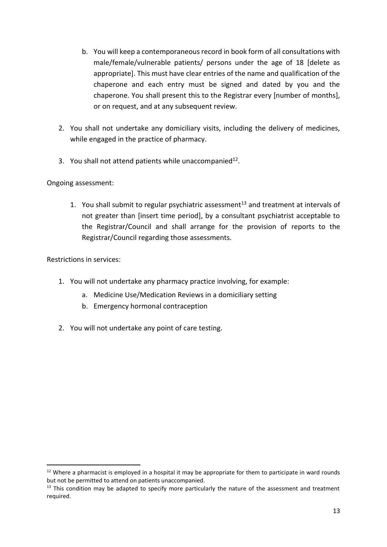- b. You will keep a contemporaneous record in book form of all consultations with male/female/vulnerable patients/ persons under the age of 18 [delete as appropriate]. This must have clear entries of the name and qualification of the chaperone and each entry must be signed and dated by you and the chaperone. You shall present this to the Registrar every [number of months], or on request, and at any subsequent review.
- 2. You shall not undertake any domiciliary visits, including the delivery of medicines, while engaged in the practice of pharmacy.
- 3. You shall not attend patients while unaccompanied $12$ .

#### Ongoing assessment:

1. You shall submit to regular psychiatric assessment<sup>13</sup> and treatment at intervals of not greater than [insert time period], by a consultant psychiatrist acceptable to the Registrar/Council and shall arrange for the provision of reports to the Registrar/Council regarding those assessments.

Restrictions in services:

**.** 

- 1. You will not undertake any pharmacy practice involving, for example:
	- a. Medicine Use/Medication Reviews in a domiciliary setting
	- b. Emergency hormonal contraception
- 2. You will not undertake any point of care testing.

<sup>&</sup>lt;sup>12</sup> Where a pharmacist is employed in a hospital it may be appropriate for them to participate in ward rounds but not be permitted to attend on patients unaccompanied.

 $13$  This condition may be adapted to specify more particularly the nature of the assessment and treatment required.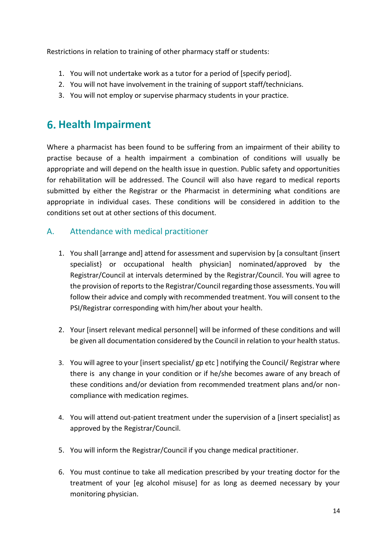Restrictions in relation to training of other pharmacy staff or students:

- 1. You will not undertake work as a tutor for a period of [specify period].
- 2. You will not have involvement in the training of support staff/technicians.
- 3. You will not employ or supervise pharmacy students in your practice.

# <span id="page-13-0"></span>**Health Impairment**

Where a pharmacist has been found to be suffering from an impairment of their ability to practise because of a health impairment a combination of conditions will usually be appropriate and will depend on the health issue in question. Public safety and opportunities for rehabilitation will be addressed. The Council will also have regard to medical reports submitted by either the Registrar or the Pharmacist in determining what conditions are appropriate in individual cases. These conditions will be considered in addition to the conditions set out at other sections of this document.

### <span id="page-13-1"></span>A. Attendance with medical practitioner

- 1. You shall [arrange and] attend for assessment and supervision by [a consultant {insert specialist} or occupational health physician] nominated/approved by the Registrar/Council at intervals determined by the Registrar/Council. You will agree to the provision of reports to the Registrar/Council regarding those assessments. You will follow their advice and comply with recommended treatment. You will consent to the PSI/Registrar corresponding with him/her about your health.
- 2. Your [insert relevant medical personnel] will be informed of these conditions and will be given all documentation considered by the Council in relation to your health status.
- 3. You will agree to your [insert specialist/ gp etc ] notifying the Council/ Registrar where there is any change in your condition or if he/she becomes aware of any breach of these conditions and/or deviation from recommended treatment plans and/or noncompliance with medication regimes.
- 4. You will attend out-patient treatment under the supervision of a [insert specialist] as approved by the Registrar/Council.
- 5. You will inform the Registrar/Council if you change medical practitioner.
- 6. You must continue to take all medication prescribed by your treating doctor for the treatment of your [eg alcohol misuse] for as long as deemed necessary by your monitoring physician.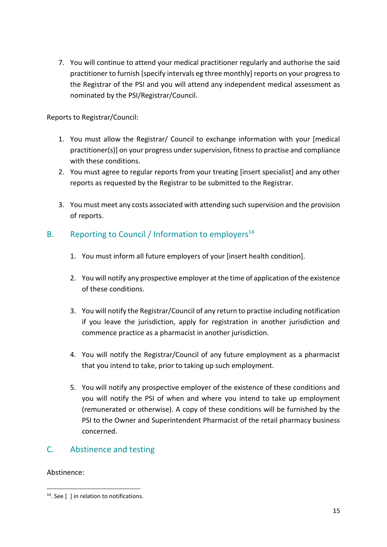7. You will continue to attend your medical practitioner regularly and authorise the said practitioner to furnish [specify intervals eg three monthly] reports on your progress to the Registrar of the PSI and you will attend any independent medical assessment as nominated by the PSI/Registrar/Council.

Reports to Registrar/Council:

- 1. You must allow the Registrar/ Council to exchange information with your [medical practitioner(s)] on your progress under supervision, fitness to practise and compliance with these conditions.
- 2. You must agree to regular reports from your treating [insert specialist] and any other reports as requested by the Registrar to be submitted to the Registrar.
- 3. You must meet any costs associated with attending such supervision and the provision of reports.

## <span id="page-14-0"></span>B. Reporting to Council / Information to employers<sup>14</sup>

- 1. You must inform all future employers of your [insert health condition].
- 2. You will notify any prospective employer at the time of application of the existence of these conditions.
- 3. You will notify the Registrar/Council of any return to practise including notification if you leave the jurisdiction, apply for registration in another jurisdiction and commence practice as a pharmacist in another jurisdiction.
- 4. You will notify the Registrar/Council of any future employment as a pharmacist that you intend to take, prior to taking up such employment.
- 5. You will notify any prospective employer of the existence of these conditions and you will notify the PSI of when and where you intend to take up employment (remunerated or otherwise). A copy of these conditions will be furnished by the PSI to the Owner and Superintendent Pharmacist of the retail pharmacy business concerned.

## <span id="page-14-1"></span>C. Abstinence and testing

#### Abstinence:

**<sup>.</sup>** <sup>14</sup>. See [ ] in relation to notifications.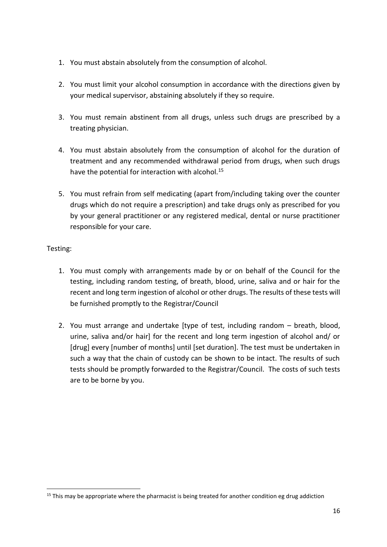- 1. You must abstain absolutely from the consumption of alcohol.
- 2. You must limit your alcohol consumption in accordance with the directions given by your medical supervisor, abstaining absolutely if they so require.
- 3. You must remain abstinent from all drugs, unless such drugs are prescribed by a treating physician.
- 4. You must abstain absolutely from the consumption of alcohol for the duration of treatment and any recommended withdrawal period from drugs, when such drugs have the potential for interaction with alcohol.<sup>15</sup>
- 5. You must refrain from self medicating (apart from/including taking over the counter drugs which do not require a prescription) and take drugs only as prescribed for you by your general practitioner or any registered medical, dental or nurse practitioner responsible for your care.

#### Testing:

**.** 

- 1. You must comply with arrangements made by or on behalf of the Council for the testing, including random testing, of breath, blood, urine, saliva and or hair for the recent and long term ingestion of alcohol or other drugs. The results of these tests will be furnished promptly to the Registrar/Council
- 2. You must arrange and undertake [type of test, including random breath, blood, urine, saliva and/or hair] for the recent and long term ingestion of alcohol and/ or [drug] every [number of months] until [set duration]. The test must be undertaken in such a way that the chain of custody can be shown to be intact. The results of such tests should be promptly forwarded to the Registrar/Council. The costs of such tests are to be borne by you.

 $15$  This may be appropriate where the pharmacist is being treated for another condition eg drug addiction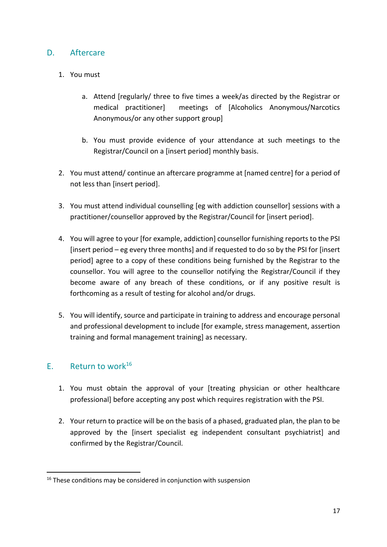#### <span id="page-16-0"></span>D. Aftercare

#### 1. You must

- a. Attend [regularly/ three to five times a week/as directed by the Registrar or medical practitioner] meetings of [Alcoholics Anonymous/Narcotics Anonymous/or any other support group]
- b. You must provide evidence of your attendance at such meetings to the Registrar/Council on a [insert period] monthly basis.
- 2. You must attend/ continue an aftercare programme at [named centre] for a period of not less than [insert period].
- 3. You must attend individual counselling [eg with addiction counsellor] sessions with a practitioner/counsellor approved by the Registrar/Council for [insert period].
- 4. You will agree to your [for example, addiction] counsellor furnishing reports to the PSI [insert period – eg every three months] and if requested to do so by the PSI for [insert period] agree to a copy of these conditions being furnished by the Registrar to the counsellor. You will agree to the counsellor notifying the Registrar/Council if they become aware of any breach of these conditions, or if any positive result is forthcoming as a result of testing for alcohol and/or drugs.
- 5. You will identify, source and participate in training to address and encourage personal and professional development to include [for example, stress management, assertion training and formal management training] as necessary.

#### <span id="page-16-1"></span>E. Return to work $^{16}$

**.** 

- 1. You must obtain the approval of your [treating physician or other healthcare professional] before accepting any post which requires registration with the PSI.
- 2. Your return to practice will be on the basis of a phased, graduated plan, the plan to be approved by the [insert specialist eg independent consultant psychiatrist] and confirmed by the Registrar/Council.

 $16$  These conditions may be considered in conjunction with suspension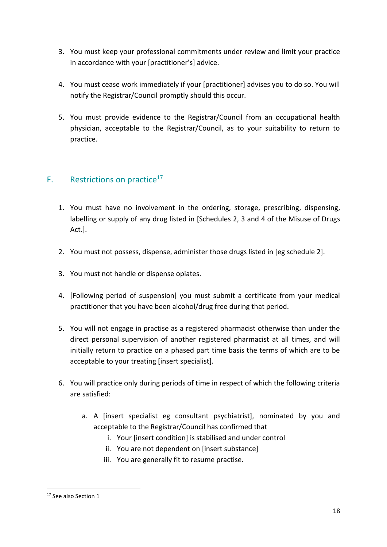- 3. You must keep your professional commitments under review and limit your practice in accordance with your [practitioner's] advice.
- 4. You must cease work immediately if your [practitioner] advises you to do so. You will notify the Registrar/Council promptly should this occur.
- 5. You must provide evidence to the Registrar/Council from an occupational health physician, acceptable to the Registrar/Council, as to your suitability to return to practice.

## <span id="page-17-0"></span>F. Restrictions on practice<sup>17</sup>

- 1. You must have no involvement in the ordering, storage, prescribing, dispensing, labelling or supply of any drug listed in [Schedules 2, 3 and 4 of the Misuse of Drugs Act.].
- 2. You must not possess, dispense, administer those drugs listed in [eg schedule 2].
- 3. You must not handle or dispense opiates.
- 4. [Following period of suspension] you must submit a certificate from your medical practitioner that you have been alcohol/drug free during that period.
- 5. You will not engage in practise as a registered pharmacist otherwise than under the direct personal supervision of another registered pharmacist at all times, and will initially return to practice on a phased part time basis the terms of which are to be acceptable to your treating [insert specialist].
- 6. You will practice only during periods of time in respect of which the following criteria are satisfied:
	- a. A [insert specialist eg consultant psychiatrist], nominated by you and acceptable to the Registrar/Council has confirmed that
		- i. Your [insert condition] is stabilised and under control
		- ii. You are not dependent on [insert substance]
		- iii. You are generally fit to resume practise.

**<sup>.</sup>** <sup>17</sup> See also Section 1